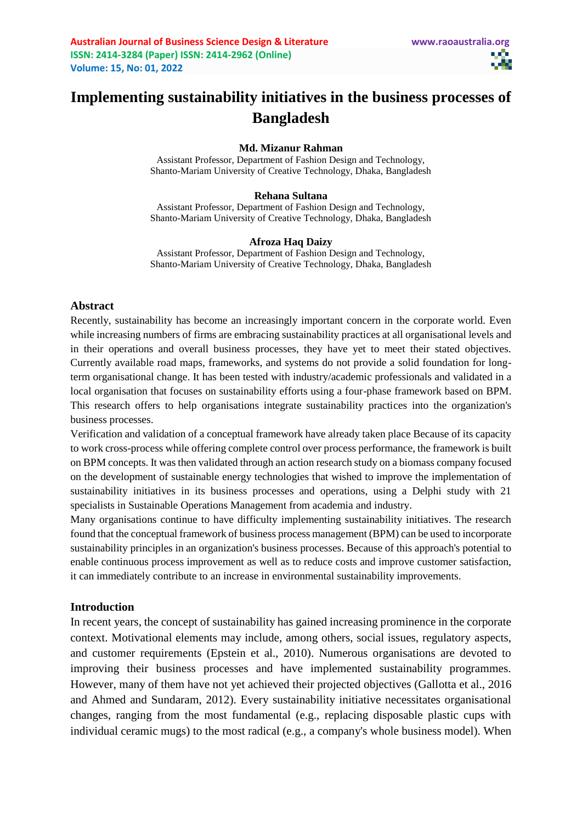# **Implementing sustainability initiatives in the business processes of Bangladesh**

#### **Md. Mizanur Rahman**

Assistant Professor, Department of Fashion Design and Technology, Shanto-Mariam University of Creative Technology, Dhaka, Bangladesh

#### **Rehana Sultana**

Assistant Professor, Department of Fashion Design and Technology, Shanto-Mariam University of Creative Technology, Dhaka, Bangladesh

#### **Afroza Haq Daizy**

Assistant Professor, Department of Fashion Design and Technology, Shanto-Mariam University of Creative Technology, Dhaka, Bangladesh

#### **Abstract**

Recently, sustainability has become an increasingly important concern in the corporate world. Even while increasing numbers of firms are embracing sustainability practices at all organisational levels and in their operations and overall business processes, they have yet to meet their stated objectives. Currently available road maps, frameworks, and systems do not provide a solid foundation for longterm organisational change. It has been tested with industry/academic professionals and validated in a local organisation that focuses on sustainability efforts using a four-phase framework based on BPM. This research offers to help organisations integrate sustainability practices into the organization's business processes.

Verification and validation of a conceptual framework have already taken place Because of its capacity to work cross-process while offering complete control over process performance, the framework is built on BPM concepts. It was then validated through an action research study on a biomass company focused on the development of sustainable energy technologies that wished to improve the implementation of sustainability initiatives in its business processes and operations, using a Delphi study with 21 specialists in Sustainable Operations Management from academia and industry.

Many organisations continue to have difficulty implementing sustainability initiatives. The research found that the conceptual framework of business process management (BPM) can be used to incorporate sustainability principles in an organization's business processes. Because of this approach's potential to enable continuous process improvement as well as to reduce costs and improve customer satisfaction, it can immediately contribute to an increase in environmental sustainability improvements.

#### **Introduction**

In recent years, the concept of sustainability has gained increasing prominence in the corporate context. Motivational elements may include, among others, social issues, regulatory aspects, and customer requirements (Epstein et al., 2010). Numerous organisations are devoted to improving their business processes and have implemented sustainability programmes. However, many of them have not yet achieved their projected objectives (Gallotta et al., 2016 and Ahmed and Sundaram, 2012). Every sustainability initiative necessitates organisational changes, ranging from the most fundamental (e.g., replacing disposable plastic cups with individual ceramic mugs) to the most radical (e.g., a company's whole business model). When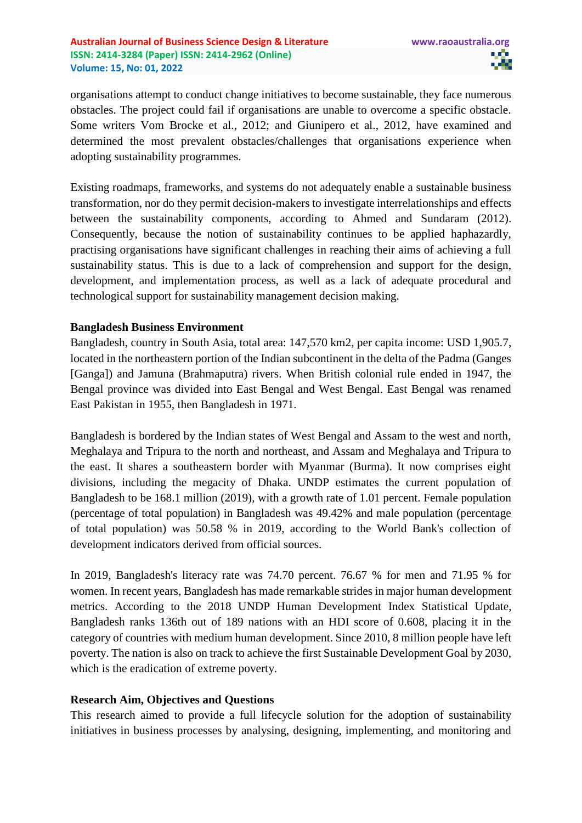organisations attempt to conduct change initiatives to become sustainable, they face numerous obstacles. The project could fail if organisations are unable to overcome a specific obstacle. Some writers Vom Brocke et al., 2012; and Giunipero et al., 2012, have examined and determined the most prevalent obstacles/challenges that organisations experience when adopting sustainability programmes.

Existing roadmaps, frameworks, and systems do not adequately enable a sustainable business transformation, nor do they permit decision-makers to investigate interrelationships and effects between the sustainability components, according to Ahmed and Sundaram (2012). Consequently, because the notion of sustainability continues to be applied haphazardly, practising organisations have significant challenges in reaching their aims of achieving a full sustainability status. This is due to a lack of comprehension and support for the design, development, and implementation process, as well as a lack of adequate procedural and technological support for sustainability management decision making.

### **Bangladesh Business Environment**

Bangladesh, country in South Asia, total area: 147,570 km2, per capita income: USD 1,905.7, located in the northeastern portion of the Indian subcontinent in the delta of the Padma (Ganges [Ganga]) and Jamuna (Brahmaputra) rivers. When British colonial rule ended in 1947, the Bengal province was divided into East Bengal and West Bengal. East Bengal was renamed East Pakistan in 1955, then Bangladesh in 1971.

Bangladesh is bordered by the Indian states of West Bengal and Assam to the west and north, Meghalaya and Tripura to the north and northeast, and Assam and Meghalaya and Tripura to the east. It shares a southeastern border with Myanmar (Burma). It now comprises eight divisions, including the megacity of Dhaka. UNDP estimates the current population of Bangladesh to be 168.1 million (2019), with a growth rate of 1.01 percent. Female population (percentage of total population) in Bangladesh was 49.42% and male population (percentage of total population) was 50.58 % in 2019, according to the World Bank's collection of development indicators derived from official sources.

In 2019, Bangladesh's literacy rate was 74.70 percent. 76.67 % for men and 71.95 % for women. In recent years, Bangladesh has made remarkable strides in major human development metrics. According to the 2018 UNDP Human Development Index Statistical Update, Bangladesh ranks 136th out of 189 nations with an HDI score of 0.608, placing it in the category of countries with medium human development. Since 2010, 8 million people have left poverty. The nation is also on track to achieve the first Sustainable Development Goal by 2030, which is the eradication of extreme poverty.

# **Research Aim, Objectives and Questions**

This research aimed to provide a full lifecycle solution for the adoption of sustainability initiatives in business processes by analysing, designing, implementing, and monitoring and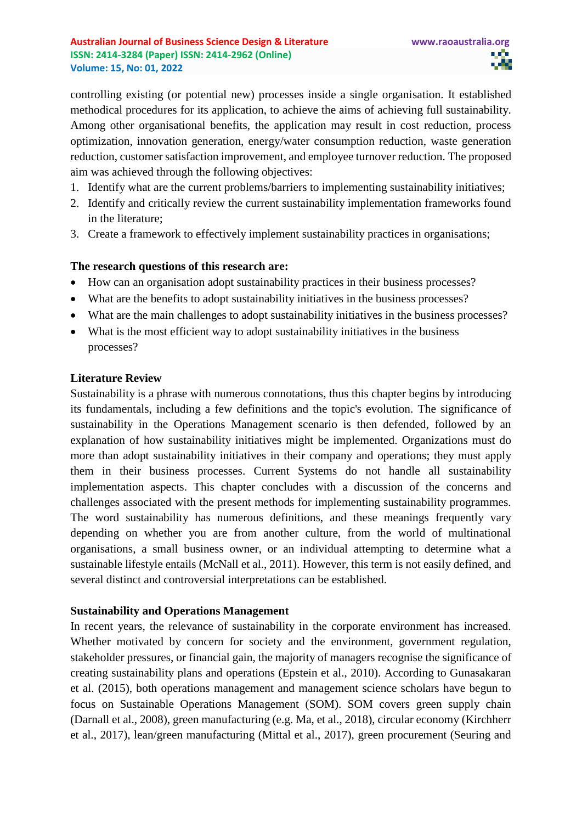controlling existing (or potential new) processes inside a single organisation. It established methodical procedures for its application, to achieve the aims of achieving full sustainability. Among other organisational benefits, the application may result in cost reduction, process optimization, innovation generation, energy/water consumption reduction, waste generation reduction, customer satisfaction improvement, and employee turnover reduction. The proposed aim was achieved through the following objectives:

- 1. Identify what are the current problems/barriers to implementing sustainability initiatives;
- 2. Identify and critically review the current sustainability implementation frameworks found in the literature;
- 3. Create a framework to effectively implement sustainability practices in organisations;

# **The research questions of this research are:**

- How can an organisation adopt sustainability practices in their business processes?
- What are the benefits to adopt sustainability initiatives in the business processes?
- What are the main challenges to adopt sustainability initiatives in the business processes?
- What is the most efficient way to adopt sustainability initiatives in the business processes?

### **Literature Review**

Sustainability is a phrase with numerous connotations, thus this chapter begins by introducing its fundamentals, including a few definitions and the topic's evolution. The significance of sustainability in the Operations Management scenario is then defended, followed by an explanation of how sustainability initiatives might be implemented. Organizations must do more than adopt sustainability initiatives in their company and operations; they must apply them in their business processes. Current Systems do not handle all sustainability implementation aspects. This chapter concludes with a discussion of the concerns and challenges associated with the present methods for implementing sustainability programmes. The word sustainability has numerous definitions, and these meanings frequently vary depending on whether you are from another culture, from the world of multinational organisations, a small business owner, or an individual attempting to determine what a sustainable lifestyle entails (McNall et al., 2011). However, this term is not easily defined, and several distinct and controversial interpretations can be established.

# **Sustainability and Operations Management**

In recent years, the relevance of sustainability in the corporate environment has increased. Whether motivated by concern for society and the environment, government regulation, stakeholder pressures, or financial gain, the majority of managers recognise the significance of creating sustainability plans and operations (Epstein et al., 2010). According to Gunasakaran et al. (2015), both operations management and management science scholars have begun to focus on Sustainable Operations Management (SOM). SOM covers green supply chain (Darnall et al., 2008), green manufacturing (e.g. Ma, et al., 2018), circular economy (Kirchherr et al., 2017), lean/green manufacturing (Mittal et al., 2017), green procurement (Seuring and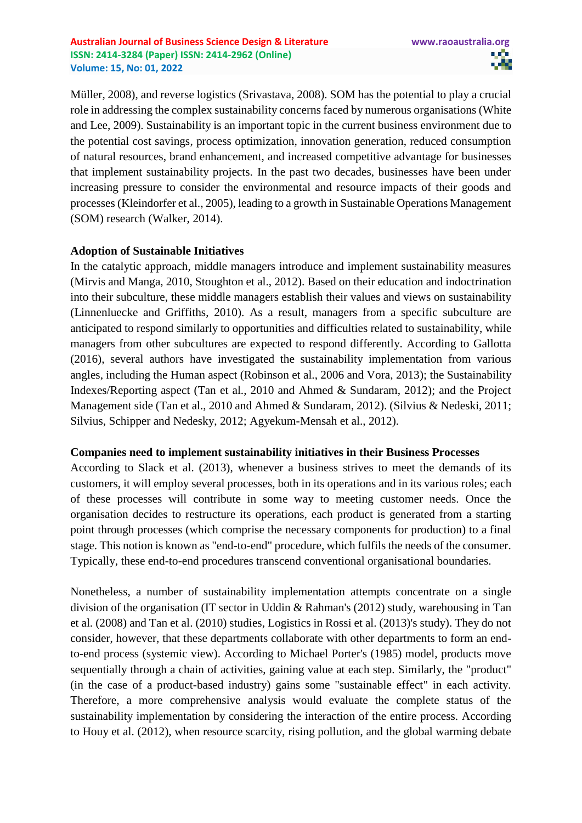Müller, 2008), and reverse logistics (Srivastava, 2008). SOM has the potential to play a crucial role in addressing the complex sustainability concerns faced by numerous organisations (White and Lee, 2009). Sustainability is an important topic in the current business environment due to the potential cost savings, process optimization, innovation generation, reduced consumption of natural resources, brand enhancement, and increased competitive advantage for businesses that implement sustainability projects. In the past two decades, businesses have been under increasing pressure to consider the environmental and resource impacts of their goods and processes (Kleindorfer et al., 2005), leading to a growth in Sustainable Operations Management (SOM) research (Walker, 2014).

# **Adoption of Sustainable Initiatives**

In the catalytic approach, middle managers introduce and implement sustainability measures (Mirvis and Manga, 2010, Stoughton et al., 2012). Based on their education and indoctrination into their subculture, these middle managers establish their values and views on sustainability (Linnenluecke and Griffiths, 2010). As a result, managers from a specific subculture are anticipated to respond similarly to opportunities and difficulties related to sustainability, while managers from other subcultures are expected to respond differently. According to Gallotta (2016), several authors have investigated the sustainability implementation from various angles, including the Human aspect (Robinson et al., 2006 and Vora, 2013); the Sustainability Indexes/Reporting aspect (Tan et al., 2010 and Ahmed & Sundaram, 2012); and the Project Management side (Tan et al., 2010 and Ahmed & Sundaram, 2012). (Silvius & Nedeski, 2011; Silvius, Schipper and Nedesky, 2012; Agyekum-Mensah et al., 2012).

# **Companies need to implement sustainability initiatives in their Business Processes**

According to Slack et al. (2013), whenever a business strives to meet the demands of its customers, it will employ several processes, both in its operations and in its various roles; each of these processes will contribute in some way to meeting customer needs. Once the organisation decides to restructure its operations, each product is generated from a starting point through processes (which comprise the necessary components for production) to a final stage. This notion is known as "end-to-end" procedure, which fulfils the needs of the consumer. Typically, these end-to-end procedures transcend conventional organisational boundaries.

Nonetheless, a number of sustainability implementation attempts concentrate on a single division of the organisation (IT sector in Uddin & Rahman's (2012) study, warehousing in Tan et al. (2008) and Tan et al. (2010) studies, Logistics in Rossi et al. (2013)'s study). They do not consider, however, that these departments collaborate with other departments to form an endto-end process (systemic view). According to Michael Porter's (1985) model, products move sequentially through a chain of activities, gaining value at each step. Similarly, the "product" (in the case of a product-based industry) gains some "sustainable effect" in each activity. Therefore, a more comprehensive analysis would evaluate the complete status of the sustainability implementation by considering the interaction of the entire process. According to Houy et al. (2012), when resource scarcity, rising pollution, and the global warming debate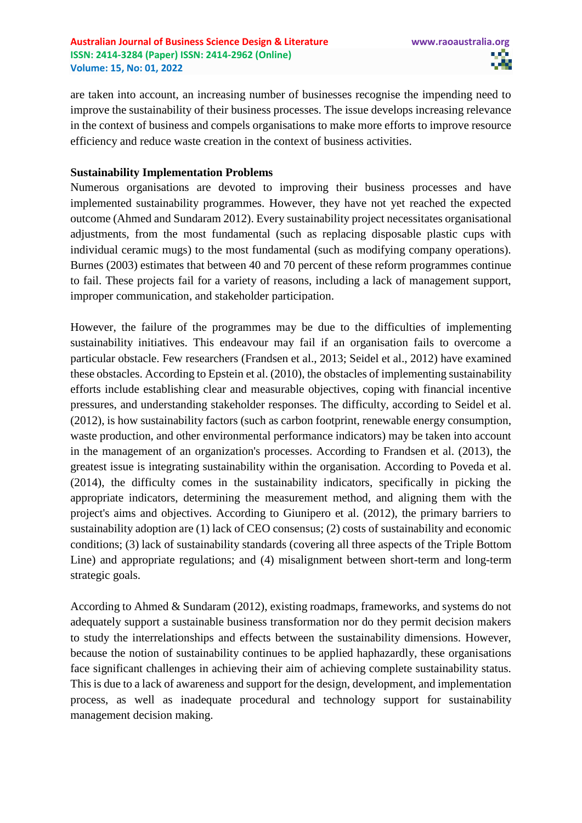are taken into account, an increasing number of businesses recognise the impending need to improve the sustainability of their business processes. The issue develops increasing relevance in the context of business and compels organisations to make more efforts to improve resource efficiency and reduce waste creation in the context of business activities.

#### **Sustainability Implementation Problems**

Numerous organisations are devoted to improving their business processes and have implemented sustainability programmes. However, they have not yet reached the expected outcome (Ahmed and Sundaram 2012). Every sustainability project necessitates organisational adjustments, from the most fundamental (such as replacing disposable plastic cups with individual ceramic mugs) to the most fundamental (such as modifying company operations). Burnes (2003) estimates that between 40 and 70 percent of these reform programmes continue to fail. These projects fail for a variety of reasons, including a lack of management support, improper communication, and stakeholder participation.

However, the failure of the programmes may be due to the difficulties of implementing sustainability initiatives. This endeavour may fail if an organisation fails to overcome a particular obstacle. Few researchers (Frandsen et al., 2013; Seidel et al., 2012) have examined these obstacles. According to Epstein et al. (2010), the obstacles of implementing sustainability efforts include establishing clear and measurable objectives, coping with financial incentive pressures, and understanding stakeholder responses. The difficulty, according to Seidel et al. (2012), is how sustainability factors (such as carbon footprint, renewable energy consumption, waste production, and other environmental performance indicators) may be taken into account in the management of an organization's processes. According to Frandsen et al. (2013), the greatest issue is integrating sustainability within the organisation. According to Poveda et al. (2014), the difficulty comes in the sustainability indicators, specifically in picking the appropriate indicators, determining the measurement method, and aligning them with the project's aims and objectives. According to Giunipero et al. (2012), the primary barriers to sustainability adoption are (1) lack of CEO consensus; (2) costs of sustainability and economic conditions; (3) lack of sustainability standards (covering all three aspects of the Triple Bottom Line) and appropriate regulations; and (4) misalignment between short-term and long-term strategic goals.

According to Ahmed & Sundaram (2012), existing roadmaps, frameworks, and systems do not adequately support a sustainable business transformation nor do they permit decision makers to study the interrelationships and effects between the sustainability dimensions. However, because the notion of sustainability continues to be applied haphazardly, these organisations face significant challenges in achieving their aim of achieving complete sustainability status. This is due to a lack of awareness and support for the design, development, and implementation process, as well as inadequate procedural and technology support for sustainability management decision making.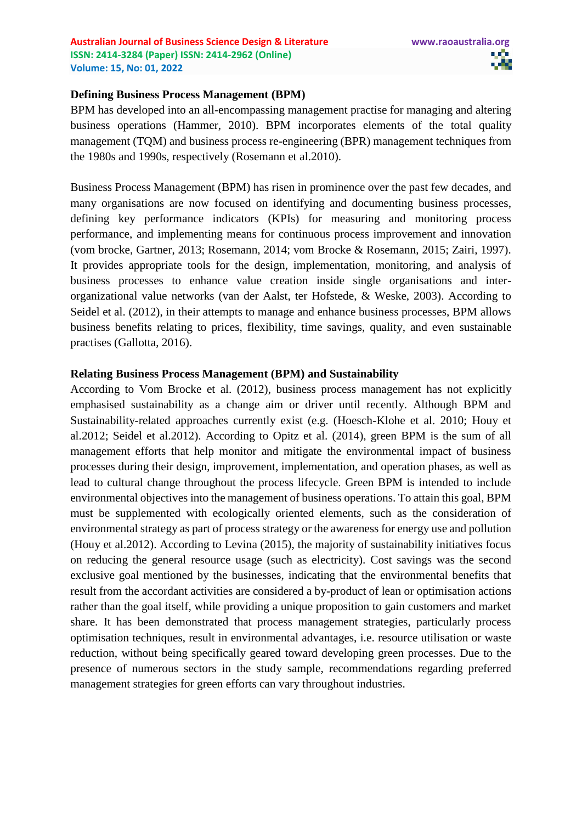#### **Defining Business Process Management (BPM)**

BPM has developed into an all-encompassing management practise for managing and altering business operations (Hammer, 2010). BPM incorporates elements of the total quality management (TQM) and business process re-engineering (BPR) management techniques from the 1980s and 1990s, respectively (Rosemann et al.2010).

Business Process Management (BPM) has risen in prominence over the past few decades, and many organisations are now focused on identifying and documenting business processes, defining key performance indicators (KPIs) for measuring and monitoring process performance, and implementing means for continuous process improvement and innovation (vom brocke, Gartner, 2013; Rosemann, 2014; vom Brocke & Rosemann, 2015; Zairi, 1997). It provides appropriate tools for the design, implementation, monitoring, and analysis of business processes to enhance value creation inside single organisations and interorganizational value networks (van der Aalst, ter Hofstede, & Weske, 2003). According to Seidel et al. (2012), in their attempts to manage and enhance business processes, BPM allows business benefits relating to prices, flexibility, time savings, quality, and even sustainable practises (Gallotta, 2016).

### **Relating Business Process Management (BPM) and Sustainability**

According to Vom Brocke et al. (2012), business process management has not explicitly emphasised sustainability as a change aim or driver until recently. Although BPM and Sustainability-related approaches currently exist (e.g. (Hoesch-Klohe et al. 2010; Houy et al.2012; Seidel et al.2012). According to Opitz et al. (2014), green BPM is the sum of all management efforts that help monitor and mitigate the environmental impact of business processes during their design, improvement, implementation, and operation phases, as well as lead to cultural change throughout the process lifecycle. Green BPM is intended to include environmental objectives into the management of business operations. To attain this goal, BPM must be supplemented with ecologically oriented elements, such as the consideration of environmental strategy as part of process strategy or the awareness for energy use and pollution (Houy et al.2012). According to Levina (2015), the majority of sustainability initiatives focus on reducing the general resource usage (such as electricity). Cost savings was the second exclusive goal mentioned by the businesses, indicating that the environmental benefits that result from the accordant activities are considered a by-product of lean or optimisation actions rather than the goal itself, while providing a unique proposition to gain customers and market share. It has been demonstrated that process management strategies, particularly process optimisation techniques, result in environmental advantages, i.e. resource utilisation or waste reduction, without being specifically geared toward developing green processes. Due to the presence of numerous sectors in the study sample, recommendations regarding preferred management strategies for green efforts can vary throughout industries.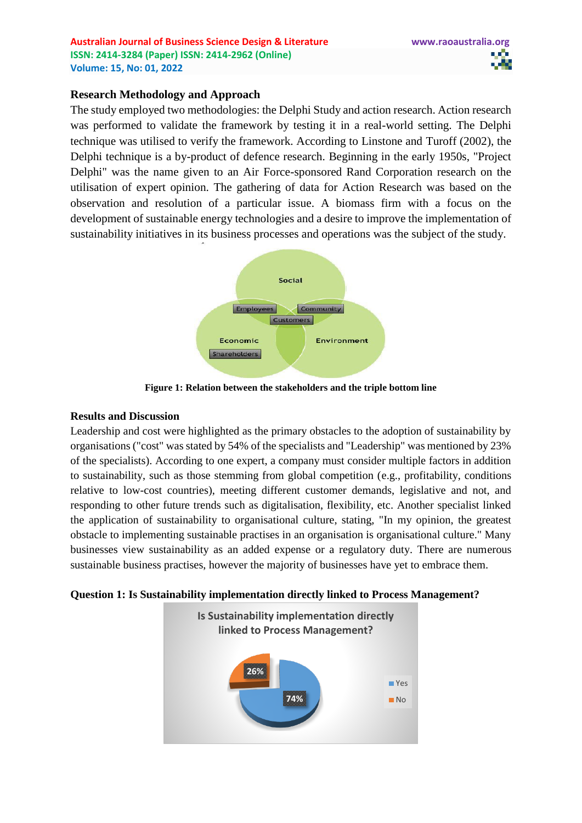# **Research Methodology and Approach**

The study employed two methodologies: the Delphi Study and action research. Action research was performed to validate the framework by testing it in a real-world setting. The Delphi technique was utilised to verify the framework. According to Linstone and Turoff (2002), the Delphi technique is a by-product of defence research. Beginning in the early 1950s, "Project Delphi" was the name given to an Air Force-sponsored Rand Corporation research on the utilisation of expert opinion. The gathering of data for Action Research was based on the observation and resolution of a particular issue. A biomass firm with a focus on the development of sustainable energy technologies and a desire to improve the implementation of sustainability initiatives in its business processes and operations was the subject of the study.



**Figure 1: Relation between the stakeholders and the triple bottom line**

#### **Results and Discussion**

Leadership and cost were highlighted as the primary obstacles to the adoption of sustainability by organisations ("cost" was stated by 54% of the specialists and "Leadership" was mentioned by 23% of the specialists). According to one expert, a company must consider multiple factors in addition to sustainability, such as those stemming from global competition (e.g., profitability, conditions relative to low-cost countries), meeting different customer demands, legislative and not, and responding to other future trends such as digitalisation, flexibility, etc. Another specialist linked the application of sustainability to organisational culture, stating, "In my opinion, the greatest obstacle to implementing sustainable practises in an organisation is organisational culture." Many businesses view sustainability as an added expense or a regulatory duty. There are numerous sustainable business practises, however the majority of businesses have yet to embrace them.

**Question 1: Is Sustainability implementation directly linked to Process Management?**

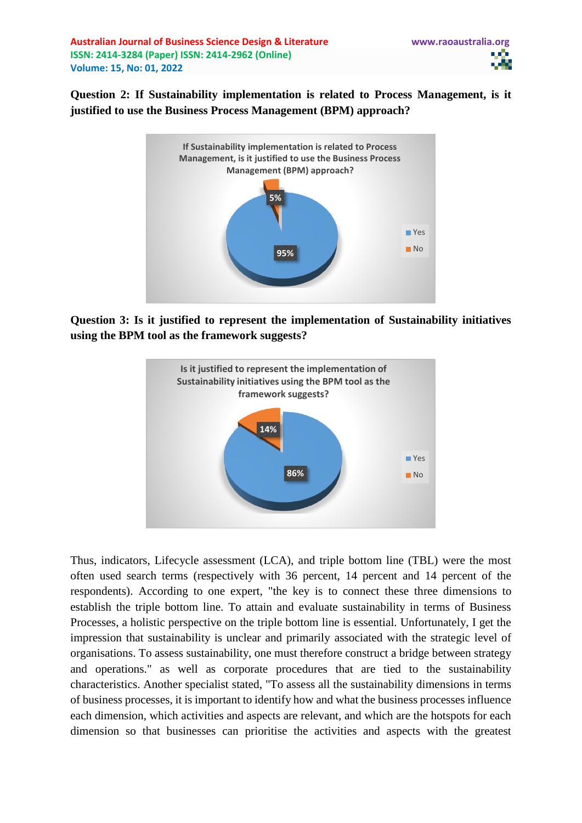**Australian Journal of Business Science Design & Literature www.raoaustralia.org ISSN: 2414-3284 (Paper) ISSN: 2414-2962 (Online) Volume: 15, No: 01, 2022**

**Question 2: If Sustainability implementation is related to Process Management, is it justified to use the Business Process Management (BPM) approach?**



**Question 3: Is it justified to represent the implementation of Sustainability initiatives using the BPM tool as the framework suggests?**



Thus, indicators, Lifecycle assessment (LCA), and triple bottom line (TBL) were the most often used search terms (respectively with 36 percent, 14 percent and 14 percent of the respondents). According to one expert, "the key is to connect these three dimensions to establish the triple bottom line. To attain and evaluate sustainability in terms of Business Processes, a holistic perspective on the triple bottom line is essential. Unfortunately, I get the impression that sustainability is unclear and primarily associated with the strategic level of organisations. To assess sustainability, one must therefore construct a bridge between strategy and operations." as well as corporate procedures that are tied to the sustainability characteristics. Another specialist stated, "To assess all the sustainability dimensions in terms of business processes, it is important to identify how and what the business processes influence each dimension, which activities and aspects are relevant, and which are the hotspots for each dimension so that businesses can prioritise the activities and aspects with the greatest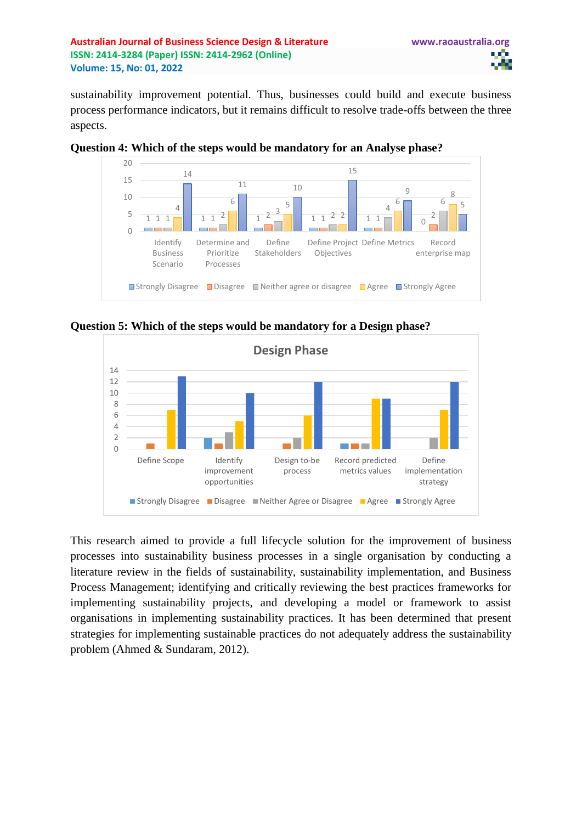**Australian Journal of Business Science Design & Literature www.raoaustralia.org ISSN: 2414-3284 (Paper) ISSN: 2414-2962 (Online) Volume: 15, No: 01, 2022**

sustainability improvement potential. Thus, businesses could build and execute business process performance indicators, but it remains difficult to resolve trade-offs between the three aspects.



**Question 4: Which of the steps would be mandatory for an Analyse phase?**





This research aimed to provide a full lifecycle solution for the improvement of business processes into sustainability business processes in a single organisation by conducting a literature review in the fields of sustainability, sustainability implementation, and Business Process Management; identifying and critically reviewing the best practices frameworks for implementing sustainability projects, and developing a model or framework to assist organisations in implementing sustainability practices. It has been determined that present strategies for implementing sustainable practices do not adequately address the sustainability problem (Ahmed & Sundaram, 2012).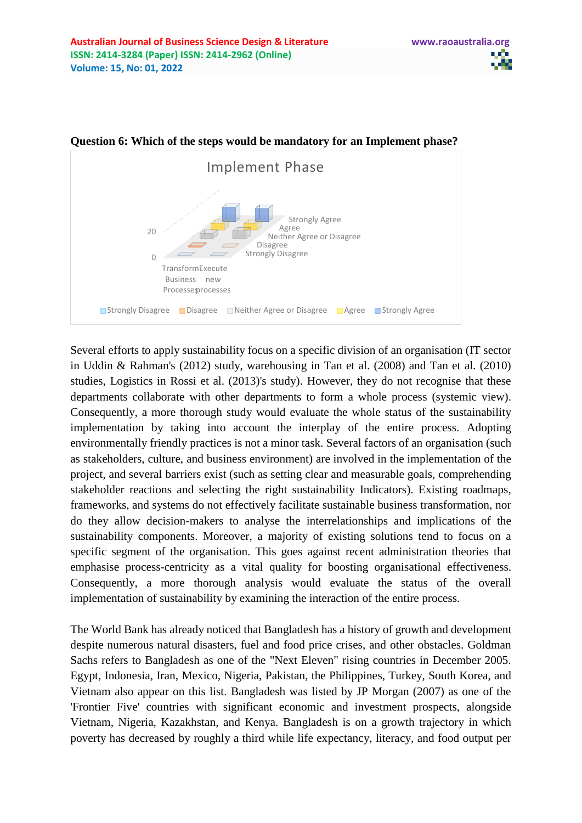

# **Question 6: Which of the steps would be mandatory for an Implement phase?**

Several efforts to apply sustainability focus on a specific division of an organisation (IT sector in Uddin & Rahman's (2012) study, warehousing in Tan et al. (2008) and Tan et al. (2010) studies, Logistics in Rossi et al. (2013)'s study). However, they do not recognise that these departments collaborate with other departments to form a whole process (systemic view). Consequently, a more thorough study would evaluate the whole status of the sustainability implementation by taking into account the interplay of the entire process. Adopting environmentally friendly practices is not a minor task. Several factors of an organisation (such as stakeholders, culture, and business environment) are involved in the implementation of the project, and several barriers exist (such as setting clear and measurable goals, comprehending stakeholder reactions and selecting the right sustainability Indicators). Existing roadmaps, frameworks, and systems do not effectively facilitate sustainable business transformation, nor do they allow decision-makers to analyse the interrelationships and implications of the sustainability components. Moreover, a majority of existing solutions tend to focus on a specific segment of the organisation. This goes against recent administration theories that emphasise process-centricity as a vital quality for boosting organisational effectiveness. Consequently, a more thorough analysis would evaluate the status of the overall implementation of sustainability by examining the interaction of the entire process.

The World Bank has already noticed that Bangladesh has a history of growth and development despite numerous natural disasters, fuel and food price crises, and other obstacles. Goldman Sachs refers to Bangladesh as one of the "Next Eleven" rising countries in December 2005. Egypt, Indonesia, Iran, Mexico, Nigeria, Pakistan, the Philippines, Turkey, South Korea, and Vietnam also appear on this list. Bangladesh was listed by JP Morgan (2007) as one of the 'Frontier Five' countries with significant economic and investment prospects, alongside Vietnam, Nigeria, Kazakhstan, and Kenya. Bangladesh is on a growth trajectory in which poverty has decreased by roughly a third while life expectancy, literacy, and food output per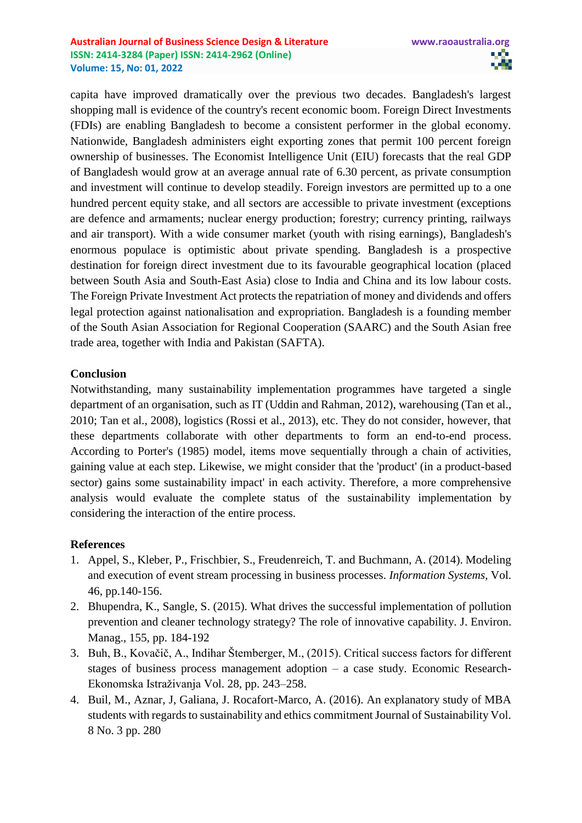capita have improved dramatically over the previous two decades. Bangladesh's largest shopping mall is evidence of the country's recent economic boom. Foreign Direct Investments (FDIs) are enabling Bangladesh to become a consistent performer in the global economy. Nationwide, Bangladesh administers eight exporting zones that permit 100 percent foreign ownership of businesses. The Economist Intelligence Unit (EIU) forecasts that the real GDP of Bangladesh would grow at an average annual rate of 6.30 percent, as private consumption and investment will continue to develop steadily. Foreign investors are permitted up to a one hundred percent equity stake, and all sectors are accessible to private investment (exceptions are defence and armaments; nuclear energy production; forestry; currency printing, railways and air transport). With a wide consumer market (youth with rising earnings), Bangladesh's enormous populace is optimistic about private spending. Bangladesh is a prospective destination for foreign direct investment due to its favourable geographical location (placed between South Asia and South-East Asia) close to India and China and its low labour costs. The Foreign Private Investment Act protects the repatriation of money and dividends and offers legal protection against nationalisation and expropriation. Bangladesh is a founding member of the South Asian Association for Regional Cooperation (SAARC) and the South Asian free trade area, together with India and Pakistan (SAFTA).

# **Conclusion**

Notwithstanding, many sustainability implementation programmes have targeted a single department of an organisation, such as IT (Uddin and Rahman, 2012), warehousing (Tan et al., 2010; Tan et al., 2008), logistics (Rossi et al., 2013), etc. They do not consider, however, that these departments collaborate with other departments to form an end-to-end process. According to Porter's (1985) model, items move sequentially through a chain of activities, gaining value at each step. Likewise, we might consider that the 'product' (in a product-based sector) gains some sustainability impact' in each activity. Therefore, a more comprehensive analysis would evaluate the complete status of the sustainability implementation by considering the interaction of the entire process.

#### **References**

- 1. Appel, S., Kleber, P., Frischbier, S., Freudenreich, T. and Buchmann, A. (2014). Modeling and execution of event stream processing in business processes. *Information Systems*, Vol. 46, pp.140-156.
- 2. Bhupendra, K., Sangle, S. (2015). What drives the successful implementation of pollution prevention and cleaner technology strategy? The role of innovative capability. J. Environ. Manag., 155, pp. 184-192
- 3. Buh, B., Kovačič, A., Indihar Štemberger, M., (2015). Critical success factors for different stages of business process management adoption – a case study. Economic Research-Ekonomska Istraživanja Vol. 28, pp. 243–258.
- 4. Buil, M., Aznar, J, Galiana, J. Rocafort-Marco, A. (2016). An explanatory study of MBA students with regards to sustainability and ethics commitment Journal of Sustainability Vol. 8 No. 3 pp. 280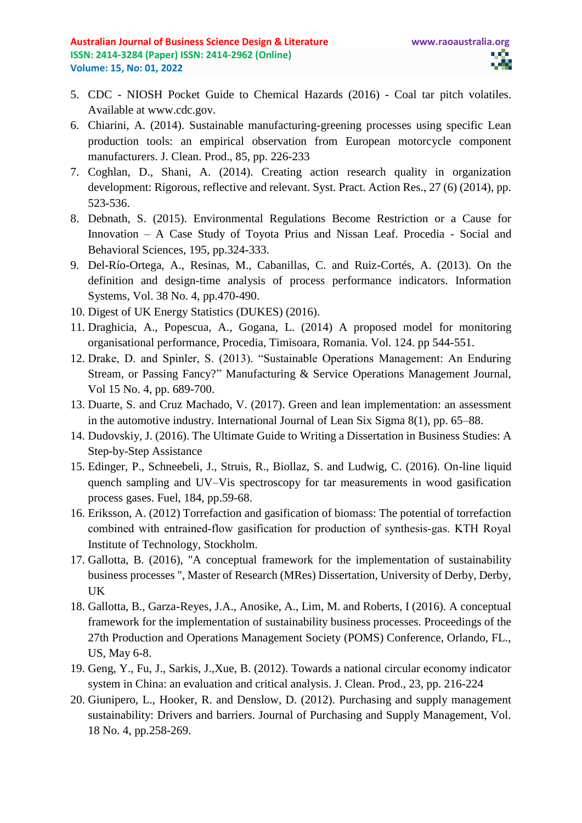- 5. CDC NIOSH Pocket Guide to Chemical Hazards (2016) Coal tar pitch volatiles. Available at www.cdc.gov.
- 6. Chiarini, A. (2014). Sustainable manufacturing-greening processes using specific Lean production tools: an empirical observation from European motorcycle component manufacturers. J. Clean. Prod., 85, pp. 226-233
- 7. Coghlan, D., Shani, A. (2014). Creating action research quality in organization development: Rigorous, reflective and relevant. Syst. Pract. Action Res., 27 (6) (2014), pp. 523-536.
- 8. Debnath, S. (2015). Environmental Regulations Become Restriction or a Cause for Innovation – A Case Study of Toyota Prius and Nissan Leaf. Procedia - Social and Behavioral Sciences, 195, pp.324-333.
- 9. Del-Río-Ortega, A., Resinas, M., Cabanillas, C. and Ruiz-Cortés, A. (2013). On the definition and design-time analysis of process performance indicators. Information Systems, Vol. 38 No. 4, pp.470-490.
- 10. Digest of UK Energy Statistics (DUKES) (2016).
- 11. Draghicia, A., Popescua, A., Gogana, L. (2014) A proposed model for monitoring organisational performance, Procedia, Timisoara, Romania. Vol. 124. pp 544-551.
- 12. Drake, D. and Spinler, S. (2013). "Sustainable Operations Management: An Enduring Stream, or Passing Fancy?" Manufacturing & Service Operations Management Journal, Vol 15 No. 4, pp. 689-700.
- 13. Duarte, S. and Cruz Machado, V. (2017). Green and lean implementation: an assessment in the automotive industry. International Journal of Lean Six Sigma 8(1), pp. 65–88.
- 14. Dudovskiy, J. (2016). The Ultimate Guide to Writing a Dissertation in Business Studies: A Step-by-Step Assistance
- 15. Edinger, P., Schneebeli, J., Struis, R., Biollaz, S. and Ludwig, C. (2016). On-line liquid quench sampling and UV–Vis spectroscopy for tar measurements in wood gasification process gases. Fuel, 184, pp.59-68.
- 16. Eriksson, A. (2012) Torrefaction and gasification of biomass: The potential of torrefaction combined with entrained‐flow gasification for production of synthesis‐gas. KTH Royal Institute of Technology, Stockholm.
- 17. Gallotta, B. (2016), "A conceptual framework for the implementation of sustainability business processes ", Master of Research (MRes) Dissertation, University of Derby, Derby, UK
- 18. Gallotta, B., Garza-Reyes, J.A., Anosike, A., Lim, M. and Roberts, I (2016). A conceptual framework for the implementation of sustainability business processes. Proceedings of the 27th Production and Operations Management Society (POMS) Conference, Orlando, FL., US, May 6-8.
- 19. Geng, Y., Fu, J., Sarkis, J.,Xue, B. (2012). Towards a national circular economy indicator system in China: an evaluation and critical analysis. J. Clean. Prod., 23, pp. 216-224
- 20. Giunipero, L., Hooker, R. and Denslow, D. (2012). Purchasing and supply management sustainability: Drivers and barriers. Journal of Purchasing and Supply Management, Vol. 18 No. 4, pp.258-269.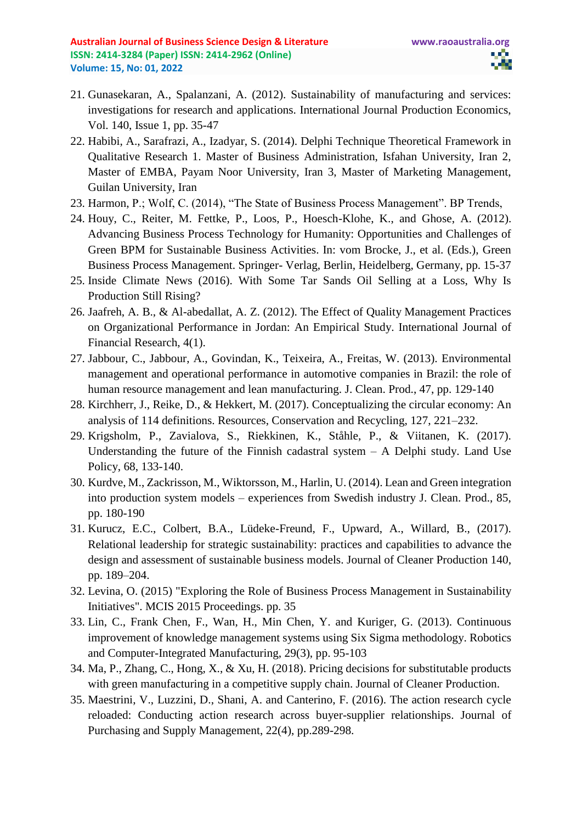- 21. Gunasekaran, A., Spalanzani, A. (2012). Sustainability of manufacturing and services: investigations for research and applications. International Journal Production Economics, Vol. 140, Issue 1, pp. 35-47
- 22. Habibi, A., Sarafrazi, A., Izadyar, S. (2014). Delphi Technique Theoretical Framework in Qualitative Research 1. Master of Business Administration, Isfahan University, Iran 2, Master of EMBA, Payam Noor University, Iran 3, Master of Marketing Management, Guilan University, Iran
- 23. Harmon, P.; Wolf, C. (2014), "The State of Business Process Management". BP Trends,
- 24. Houy, C., Reiter, M. Fettke, P., Loos, P., Hoesch-Klohe, K., and Ghose, A. (2012). Advancing Business Process Technology for Humanity: Opportunities and Challenges of Green BPM for Sustainable Business Activities. In: vom Brocke, J., et al. (Eds.), Green Business Process Management. Springer- Verlag, Berlin, Heidelberg, Germany, pp. 15-37
- 25. Inside Climate News (2016). With Some Tar Sands Oil Selling at a Loss, Why Is Production Still Rising?
- 26. Jaafreh, A. B., & Al-abedallat, A. Z. (2012). The Effect of Quality Management Practices on Organizational Performance in Jordan: An Empirical Study. International Journal of Financial Research, 4(1).
- 27. Jabbour, C., Jabbour, A., Govindan, K., Teixeira, A., Freitas, W. (2013). Environmental management and operational performance in automotive companies in Brazil: the role of human resource management and lean manufacturing. J. Clean. Prod., 47, pp. 129-140
- 28. Kirchherr, J., Reike, D., & Hekkert, M. (2017). Conceptualizing the circular economy: An analysis of 114 definitions. Resources, Conservation and Recycling, 127, 221–232.
- 29. Krigsholm, P., Zavialova, S., Riekkinen, K., Ståhle, P., & Viitanen, K. (2017). Understanding the future of the Finnish cadastral system  $- A$  Delphi study. Land Use Policy, 68, 133-140.
- 30. Kurdve, M., Zackrisson, M., Wiktorsson, M., Harlin, U. (2014). Lean and Green integration into production system models – experiences from Swedish industry J. Clean. Prod., 85, pp. 180-190
- 31. Kurucz, E.C., Colbert, B.A., Lüdeke-Freund, F., Upward, A., Willard, B., (2017). Relational leadership for strategic sustainability: practices and capabilities to advance the design and assessment of sustainable business models. Journal of Cleaner Production 140, pp. 189–204.
- 32. Levina, O. (2015) "Exploring the Role of Business Process Management in Sustainability Initiatives". MCIS 2015 Proceedings. pp. 35
- 33. Lin, C., Frank Chen, F., Wan, H., Min Chen, Y. and Kuriger, G. (2013). Continuous improvement of knowledge management systems using Six Sigma methodology. Robotics and Computer-Integrated Manufacturing, 29(3), pp. 95-103
- 34. Ma, P., Zhang, C., Hong, X., & Xu, H. (2018). Pricing decisions for substitutable products with green manufacturing in a competitive supply chain. Journal of Cleaner Production.
- 35. Maestrini, V., Luzzini, D., Shani, A. and Canterino, F. (2016). The action research cycle reloaded: Conducting action research across buyer-supplier relationships. Journal of Purchasing and Supply Management, 22(4), pp.289-298.